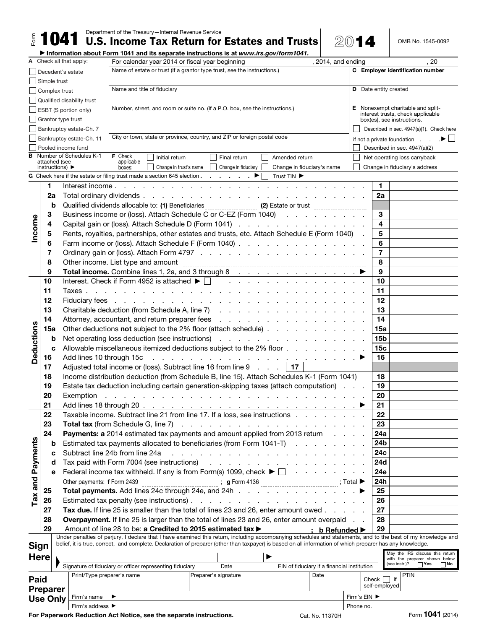$\frac{15}{1041}$  Department of the Treasury—Internal Revenue Service **Estates and Trusts** 2014  $\blacksquare$  OMB No. 1545-0092

▶ Information about Form 1041 and its separate instructions is at *www.irs.gov/form1041.*

|                         |                 | A Check all that apply:                                                                           |                                                                                                                                                                                                                                                                                                                                        | For calendar year 2014 or fiscal year beginning<br>, 2014, and ending                                                                                     |                                                                                                                                                              |                                             |  | . 20                             |                                                                 |           |  |  |  |
|-------------------------|-----------------|---------------------------------------------------------------------------------------------------|----------------------------------------------------------------------------------------------------------------------------------------------------------------------------------------------------------------------------------------------------------------------------------------------------------------------------------------|-----------------------------------------------------------------------------------------------------------------------------------------------------------|--------------------------------------------------------------------------------------------------------------------------------------------------------------|---------------------------------------------|--|----------------------------------|-----------------------------------------------------------------|-----------|--|--|--|
|                         |                 | Decedent's estate                                                                                 |                                                                                                                                                                                                                                                                                                                                        | Name of estate or trust (If a grantor type trust, see the instructions.)                                                                                  |                                                                                                                                                              |                                             |  | C Employer identification number |                                                                 |           |  |  |  |
|                         |                 | Simple trust                                                                                      |                                                                                                                                                                                                                                                                                                                                        |                                                                                                                                                           |                                                                                                                                                              |                                             |  |                                  |                                                                 |           |  |  |  |
|                         |                 | Complex trust                                                                                     |                                                                                                                                                                                                                                                                                                                                        | Name and title of fiduciary                                                                                                                               |                                                                                                                                                              |                                             |  | <b>D</b> Date entity created     |                                                                 |           |  |  |  |
|                         |                 |                                                                                                   | Qualified disability trust                                                                                                                                                                                                                                                                                                             |                                                                                                                                                           |                                                                                                                                                              |                                             |  |                                  |                                                                 |           |  |  |  |
|                         |                 |                                                                                                   | <b>ESBT (S portion only)</b>                                                                                                                                                                                                                                                                                                           |                                                                                                                                                           | Number, street, and room or suite no. (If a P.O. box, see the instructions.)                                                                                 |                                             |  |                                  | Nonexempt charitable and split-                                 |           |  |  |  |
|                         |                 | Grantor type trust                                                                                |                                                                                                                                                                                                                                                                                                                                        |                                                                                                                                                           |                                                                                                                                                              |                                             |  |                                  | interest trusts, check applicable<br>box(es), see instructions. |           |  |  |  |
|                         |                 |                                                                                                   |                                                                                                                                                                                                                                                                                                                                        |                                                                                                                                                           |                                                                                                                                                              |                                             |  |                                  |                                                                 |           |  |  |  |
|                         |                 |                                                                                                   | Bankruptcy estate-Ch. 7                                                                                                                                                                                                                                                                                                                |                                                                                                                                                           | City or town, state or province, country, and ZIP or foreign postal code                                                                                     |                                             |  |                                  | Described in sec. 4947(a)(1). Check here                        |           |  |  |  |
|                         |                 | Bankruptcy estate-Ch. 11                                                                          |                                                                                                                                                                                                                                                                                                                                        |                                                                                                                                                           |                                                                                                                                                              |                                             |  |                                  | if not a private foundation $\qquad \qquad \bullet \Box$        |           |  |  |  |
| в                       |                 | Pooled income fund                                                                                |                                                                                                                                                                                                                                                                                                                                        | <b>F</b> Check                                                                                                                                            |                                                                                                                                                              |                                             |  |                                  | Described in sec. 4947(a)(2)                                    |           |  |  |  |
|                         |                 | Number of Schedules K-1<br>attached (see                                                          |                                                                                                                                                                                                                                                                                                                                        | Initial return<br>Final return<br>Amended return<br>applicable                                                                                            |                                                                                                                                                              |                                             |  |                                  | Net operating loss carryback                                    |           |  |  |  |
|                         |                 | instructions) $\blacktriangleright$                                                               |                                                                                                                                                                                                                                                                                                                                        | Change in trust's name<br>Change in fiduciary<br>Change in fiduciary's name<br>boxes:                                                                     |                                                                                                                                                              |                                             |  |                                  | Change in fiduciary's address                                   |           |  |  |  |
|                         |                 |                                                                                                   |                                                                                                                                                                                                                                                                                                                                        | G Check here if the estate or filing trust made a section 645 election.<br>Trust TIN ▶                                                                    |                                                                                                                                                              |                                             |  |                                  |                                                                 |           |  |  |  |
|                         | 1               |                                                                                                   |                                                                                                                                                                                                                                                                                                                                        | Interest income                                                                                                                                           | the contract of the contract of the con-                                                                                                                     |                                             |  | 1.                               |                                                                 |           |  |  |  |
|                         | 2a              |                                                                                                   |                                                                                                                                                                                                                                                                                                                                        |                                                                                                                                                           | Total ordinary dividends                                                                                                                                     |                                             |  | 2a                               |                                                                 |           |  |  |  |
|                         | b               |                                                                                                   | Qualified dividends allocable to: (1) Beneficiaries _______________________ (2) Estate or trust ____________________                                                                                                                                                                                                                   |                                                                                                                                                           |                                                                                                                                                              |                                             |  |                                  |                                                                 |           |  |  |  |
|                         | 3               |                                                                                                   |                                                                                                                                                                                                                                                                                                                                        |                                                                                                                                                           | Business income or (loss). Attach Schedule C or C-EZ (Form 1040)                                                                                             |                                             |  | 3                                |                                                                 |           |  |  |  |
| Income                  | 4               |                                                                                                   |                                                                                                                                                                                                                                                                                                                                        |                                                                                                                                                           | Capital gain or (loss). Attach Schedule D (Form 1041)                                                                                                        |                                             |  | 4                                |                                                                 |           |  |  |  |
|                         | 5               |                                                                                                   |                                                                                                                                                                                                                                                                                                                                        |                                                                                                                                                           | Rents, royalties, partnerships, other estates and trusts, etc. Attach Schedule E (Form 1040) .                                                               |                                             |  | 5                                |                                                                 |           |  |  |  |
|                         | 6               |                                                                                                   |                                                                                                                                                                                                                                                                                                                                        |                                                                                                                                                           | Farm income or (loss). Attach Schedule F (Form 1040)                                                                                                         |                                             |  | 6                                |                                                                 |           |  |  |  |
|                         | 7               |                                                                                                   |                                                                                                                                                                                                                                                                                                                                        |                                                                                                                                                           |                                                                                                                                                              |                                             |  | $\overline{7}$                   |                                                                 |           |  |  |  |
|                         | 8               |                                                                                                   |                                                                                                                                                                                                                                                                                                                                        | Other income. List type and amount                                                                                                                        |                                                                                                                                                              |                                             |  | 8                                |                                                                 |           |  |  |  |
|                         | 9               |                                                                                                   |                                                                                                                                                                                                                                                                                                                                        |                                                                                                                                                           |                                                                                                                                                              |                                             |  | 9                                |                                                                 |           |  |  |  |
|                         | 10              |                                                                                                   |                                                                                                                                                                                                                                                                                                                                        | Interest. Check if Form 4952 is attached $\blacktriangleright \Box$                                                                                       |                                                                                                                                                              |                                             |  | 10                               |                                                                 |           |  |  |  |
|                         | 11              |                                                                                                   |                                                                                                                                                                                                                                                                                                                                        |                                                                                                                                                           |                                                                                                                                                              |                                             |  | 11                               |                                                                 |           |  |  |  |
|                         | 12              |                                                                                                   |                                                                                                                                                                                                                                                                                                                                        |                                                                                                                                                           |                                                                                                                                                              |                                             |  | 12                               |                                                                 |           |  |  |  |
|                         | 13              |                                                                                                   |                                                                                                                                                                                                                                                                                                                                        |                                                                                                                                                           | Charitable deduction (from Schedule A, line 7) (and a contract of the contract of the charitable deduction (from Schedule A, line 7)                         |                                             |  | 13                               |                                                                 |           |  |  |  |
|                         | 14              |                                                                                                   |                                                                                                                                                                                                                                                                                                                                        |                                                                                                                                                           | Attorney, accountant, and return preparer fees                                                                                                               |                                             |  | 14                               |                                                                 |           |  |  |  |
|                         |                 |                                                                                                   |                                                                                                                                                                                                                                                                                                                                        |                                                                                                                                                           | 15a                                                                                                                                                          |                                             |  |                                  |                                                                 |           |  |  |  |
| Deductions              | 15a             |                                                                                                   | Other deductions not subject to the 2% floor (attach schedule)                                                                                                                                                                                                                                                                         |                                                                                                                                                           |                                                                                                                                                              |                                             |  |                                  |                                                                 |           |  |  |  |
|                         | $\mathbf b$     |                                                                                                   |                                                                                                                                                                                                                                                                                                                                        | Net operating loss deduction (see instructions)                                                                                                           |                                                                                                                                                              | <b>15b</b><br>15c                           |  |                                  |                                                                 |           |  |  |  |
|                         | c               |                                                                                                   | Allowable miscellaneous itemized deductions subject to the 2% floor                                                                                                                                                                                                                                                                    |                                                                                                                                                           |                                                                                                                                                              |                                             |  |                                  |                                                                 |           |  |  |  |
|                         | 16              |                                                                                                   | Add lines 10 through 15c<br>a construction of the construction of the construction of the construction of the construction of the construction of the construction of the construction of the construction of the construction of the construction of the<br>Adjusted total income or (loss). Subtract line 16 from line 9 $\ldots$ 17 |                                                                                                                                                           |                                                                                                                                                              |                                             |  |                                  |                                                                 |           |  |  |  |
|                         | 17              |                                                                                                   |                                                                                                                                                                                                                                                                                                                                        |                                                                                                                                                           |                                                                                                                                                              |                                             |  |                                  |                                                                 |           |  |  |  |
|                         | 18              |                                                                                                   | Income distribution deduction (from Schedule B, line 15). Attach Schedules K-1 (Form 1041)                                                                                                                                                                                                                                             | 18<br>19                                                                                                                                                  |                                                                                                                                                              |                                             |  |                                  |                                                                 |           |  |  |  |
|                         | 19              |                                                                                                   | Estate tax deduction including certain generation-skipping taxes (attach computation)                                                                                                                                                                                                                                                  |                                                                                                                                                           |                                                                                                                                                              |                                             |  |                                  |                                                                 |           |  |  |  |
|                         | 20              |                                                                                                   | Exemption                                                                                                                                                                                                                                                                                                                              |                                                                                                                                                           |                                                                                                                                                              |                                             |  |                                  |                                                                 |           |  |  |  |
|                         | 21              |                                                                                                   |                                                                                                                                                                                                                                                                                                                                        |                                                                                                                                                           |                                                                                                                                                              |                                             |  | 21                               |                                                                 |           |  |  |  |
|                         | 22              |                                                                                                   | Taxable income. Subtract line 21 from line 17. If a loss, see instructions                                                                                                                                                                                                                                                             |                                                                                                                                                           |                                                                                                                                                              |                                             |  | 22                               |                                                                 |           |  |  |  |
|                         | 23              |                                                                                                   |                                                                                                                                                                                                                                                                                                                                        | <b>Total tax</b> (from Schedule G, line 7)                                                                                                                | and a series of the contract of the contract of the contract of                                                                                              |                                             |  | 23                               |                                                                 |           |  |  |  |
|                         | 24              |                                                                                                   |                                                                                                                                                                                                                                                                                                                                        |                                                                                                                                                           | Payments: a 2014 estimated tax payments and amount applied from 2013 return                                                                                  |                                             |  | 24a                              |                                                                 |           |  |  |  |
| Tax and Payments        | b               |                                                                                                   |                                                                                                                                                                                                                                                                                                                                        | Estimated tax payments allocated to beneficiaries (from Form 1041-T)                                                                                      |                                                                                                                                                              | 24b                                         |  |                                  |                                                                 |           |  |  |  |
|                         | c               |                                                                                                   |                                                                                                                                                                                                                                                                                                                                        | Subtract line 24b from line 24a<br>a car a car a car a car a car a car a car a car a                                                                      |                                                                                                                                                              | 24c                                         |  |                                  |                                                                 |           |  |  |  |
|                         | d               |                                                                                                   | Tax paid with Form 7004 (see instructions)                                                                                                                                                                                                                                                                                             |                                                                                                                                                           |                                                                                                                                                              |                                             |  |                                  | 24d                                                             |           |  |  |  |
|                         | е               |                                                                                                   |                                                                                                                                                                                                                                                                                                                                        |                                                                                                                                                           | Federal income tax withheld. If any is from Form(s) 1099, check $\blacktriangleright \Box \quad$                                                             |                                             |  | 24e                              |                                                                 |           |  |  |  |
|                         |                 |                                                                                                   | Other payments: f Form 2439                                                                                                                                                                                                                                                                                                            |                                                                                                                                                           |                                                                                                                                                              |                                             |  | 24h                              |                                                                 |           |  |  |  |
|                         | 25              |                                                                                                   |                                                                                                                                                                                                                                                                                                                                        |                                                                                                                                                           | Total payments. Add lines 24c through 24e, and 24h                                                                                                           |                                             |  | 25                               |                                                                 |           |  |  |  |
|                         | 26              |                                                                                                   |                                                                                                                                                                                                                                                                                                                                        |                                                                                                                                                           |                                                                                                                                                              |                                             |  | 26                               |                                                                 |           |  |  |  |
|                         | 27              |                                                                                                   | Tax due. If line 25 is smaller than the total of lines 23 and 26, enter amount owed                                                                                                                                                                                                                                                    |                                                                                                                                                           |                                                                                                                                                              |                                             |  |                                  |                                                                 |           |  |  |  |
|                         | 28              | <b>Overpayment.</b> If line 25 is larger than the total of lines 23 and 26, enter amount overpaid |                                                                                                                                                                                                                                                                                                                                        |                                                                                                                                                           |                                                                                                                                                              |                                             |  |                                  |                                                                 |           |  |  |  |
|                         | 29              |                                                                                                   |                                                                                                                                                                                                                                                                                                                                        |                                                                                                                                                           | Amount of line 28 to be: a Credited to 2015 estimated tax ▶                                                                                                  | <b>b</b> Refunded ▶                         |  | 29                               |                                                                 |           |  |  |  |
|                         |                 |                                                                                                   |                                                                                                                                                                                                                                                                                                                                        |                                                                                                                                                           | Under penalties of perjury, I declare that I have examined this return, including accompanying schedules and statements, and to the best of my knowledge and |                                             |  |                                  |                                                                 |           |  |  |  |
| Sign                    |                 |                                                                                                   |                                                                                                                                                                                                                                                                                                                                        | belief, it is true, correct, and complete. Declaration of preparer (other than taxpayer) is based on all information of which preparer has any knowledge. |                                                                                                                                                              |                                             |  |                                  |                                                                 |           |  |  |  |
| Here                    |                 |                                                                                                   |                                                                                                                                                                                                                                                                                                                                        |                                                                                                                                                           |                                                                                                                                                              |                                             |  |                                  | May the IRS discuss this return                                 |           |  |  |  |
|                         |                 |                                                                                                   |                                                                                                                                                                                                                                                                                                                                        | Signature of fiduciary or officer representing fiduciary                                                                                                  | Date                                                                                                                                                         | EIN of fiduciary if a financial institution |  |                                  | with the preparer shown below<br>(see instr.)?<br>$\Box$ Yes    | $\Box$ No |  |  |  |
|                         |                 |                                                                                                   | Print/Type preparer's name                                                                                                                                                                                                                                                                                                             |                                                                                                                                                           | Preparer's signature                                                                                                                                         | Date                                        |  |                                  | <b>PTIN</b>                                                     |           |  |  |  |
| Paid<br><b>Preparer</b> |                 |                                                                                                   |                                                                                                                                                                                                                                                                                                                                        |                                                                                                                                                           |                                                                                                                                                              |                                             |  | Check                            | if                                                              |           |  |  |  |
|                         |                 |                                                                                                   |                                                                                                                                                                                                                                                                                                                                        |                                                                                                                                                           |                                                                                                                                                              |                                             |  | self-employed                    |                                                                 |           |  |  |  |
|                         | <b>Use Only</b> |                                                                                                   | Firm's name<br>▶                                                                                                                                                                                                                                                                                                                       |                                                                                                                                                           |                                                                                                                                                              |                                             |  | Firm's EIN ▶                     |                                                                 |           |  |  |  |
|                         |                 | Firm's address ▶<br>Phone no.                                                                     |                                                                                                                                                                                                                                                                                                                                        |                                                                                                                                                           |                                                                                                                                                              |                                             |  | Form 1041 (2014)                 |                                                                 |           |  |  |  |
|                         |                 |                                                                                                   |                                                                                                                                                                                                                                                                                                                                        | For Paperwork Reduction Act Notice, see the separate instructions.                                                                                        |                                                                                                                                                              | Cat. No. 11370H                             |  |                                  |                                                                 |           |  |  |  |